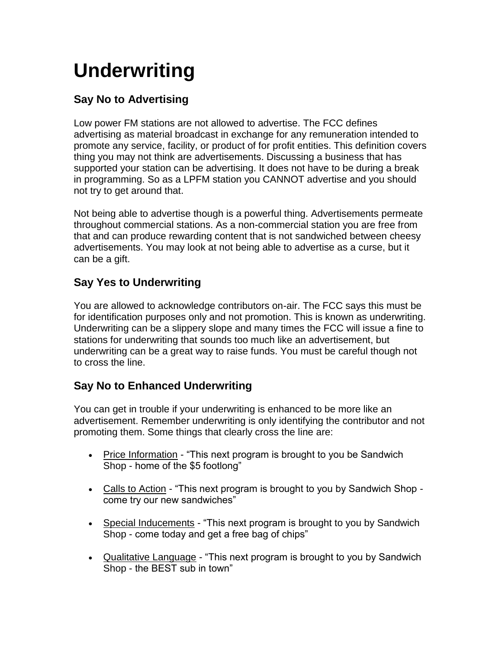# **Underwriting**

## **Say No to Advertising**

Low power FM stations are not allowed to advertise. The FCC defines advertising as material broadcast in exchange for any remuneration intended to promote any service, facility, or product of for profit entities. This definition covers thing you may not think are advertisements. Discussing a business that has supported your station can be advertising. It does not have to be during a break in programming. So as a LPFM station you CANNOT advertise and you should not try to get around that.

Not being able to advertise though is a powerful thing. Advertisements permeate throughout commercial stations. As a non-commercial station you are free from that and can produce rewarding content that is not sandwiched between cheesy advertisements. You may look at not being able to advertise as a curse, but it can be a gift.

# **Say Yes to Underwriting**

You are allowed to acknowledge contributors on-air. The FCC says this must be for identification purposes only and not promotion. This is known as underwriting. Underwriting can be a slippery slope and many times the FCC will issue a fine to stations for underwriting that sounds too much like an advertisement, but underwriting can be a great way to raise funds. You must be careful though not to cross the line.

### **Say No to Enhanced Underwriting**

You can get in trouble if your underwriting is enhanced to be more like an advertisement. Remember underwriting is only identifying the contributor and not promoting them. Some things that clearly cross the line are:

- Price Information "This next program is brought to you be Sandwich Shop - home of the \$5 footlong"
- Calls to Action "This next program is brought to you by Sandwich Shop come try our new sandwiches"
- Special Inducements "This next program is brought to you by Sandwich Shop - come today and get a free bag of chips"
- Qualitative Language "This next program is brought to you by Sandwich Shop - the BEST sub in town"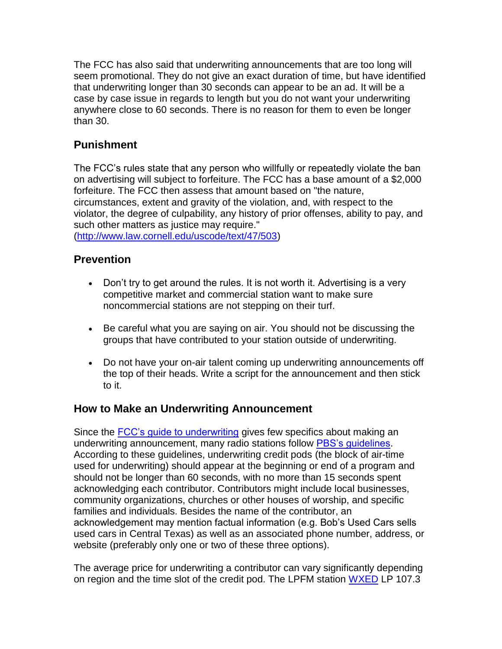The FCC has also said that underwriting announcements that are too long will seem promotional. They do not give an exact duration of time, but have identified that underwriting longer than 30 seconds can appear to be an ad. It will be a case by case issue in regards to length but you do not want your underwriting anywhere close to 60 seconds. There is no reason for them to even be longer than 30.

#### **Punishment**

The FCC's rules state that any person who willfully or repeatedly violate the ban on advertising will subject to forfeiture. The FCC has a base amount of a \$2,000 forfeiture. The FCC then assess that amount based on "the nature, circumstances, extent and gravity of the violation, and, with respect to the violator, the degree of culpability, any history of prior offenses, ability to pay, and such other matters as justice may require."

[\(http://www.law.cornell.edu/uscode/text/47/503\)](http://www.law.cornell.edu/uscode/text/47/503)

#### **Prevention**

- Don't try to get around the rules. It is not worth it. Advertising is a very competitive market and commercial station want to make sure noncommercial stations are not stepping on their turf.
- Be careful what you are saying on air. You should not be discussing the groups that have contributed to your station outside of underwriting.
- Do not have your on-air talent coming up underwriting announcements off the top of their heads. Write a script for the announcement and then stick to it.

#### **How to Make an Underwriting Announcement**

Since the **FCC's guide to underwriting** gives few specifics about making an underwriting announcement, many radio stations follow [PBS's guidelines.](http://www-tc.pbs.org/producing/media/producing/cms_page_media/1/Underwriting%201.2011_1.pdf) According to these guidelines, underwriting credit pods (the block of air-time used for underwriting) should appear at the beginning or end of a program and should not be longer than 60 seconds, with no more than 15 seconds spent acknowledging each contributor. Contributors might include local businesses, community organizations, churches or other houses of worship, and specific families and individuals. Besides the name of the contributor, an acknowledgement may mention factual information (e.g. Bob's Used Cars sells used cars in Central Texas) as well as an associated phone number, address, or website (preferably only one or two of these three options).

The average price for underwriting a contributor can vary significantly depending on region and the time slot of the credit pod. The LPFM station [WXED](http://www.weakradio.net/underwriting.htm) LP 107.3